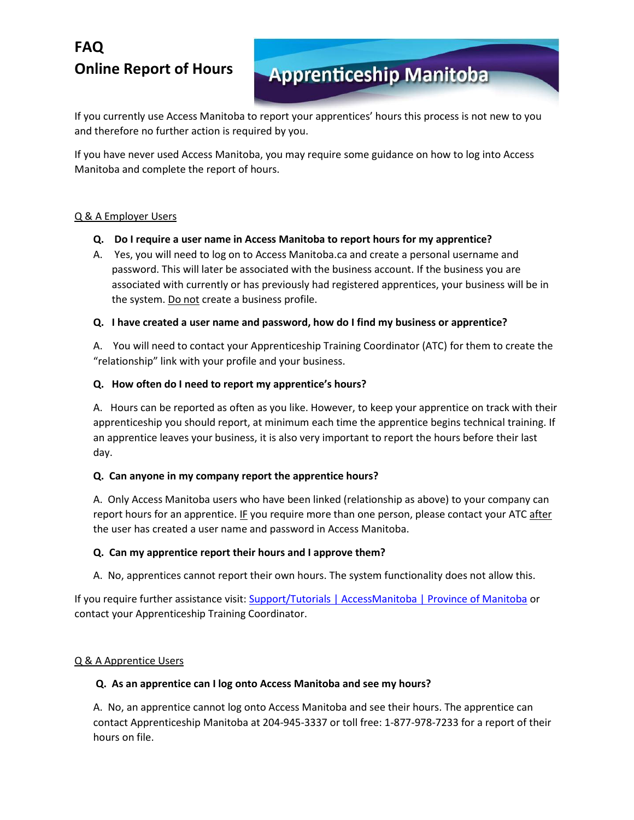# **FAQ Online Report of Hours**

# **Apprenticeship Manitoba**

If you currently use Access Manitoba to report your apprentices' hours this process is not new to you and therefore no further action is required by you.

If you have never used Access Manitoba, you may require some guidance on how to log into Access Manitoba and complete the report of hours.

# Q & A Employer Users

- **Q. Do I require a user name in Access Manitoba to report hours for my apprentice?**
- A. Yes, you will need to log on to Access Manitoba.ca and create a personal username and password. This will later be associated with the business account. If the business you are associated with currently or has previously had registered apprentices, your business will be in the system. Do not create a business profile.

# **Q. I have created a user name and password, how do I find my business or apprentice?**

A. You will need to contact your Apprenticeship Training Coordinator (ATC) for them to create the "relationship" link with your profile and your business.

# **Q. How often do I need to report my apprentice's hours?**

A. Hours can be reported as often as you like. However, to keep your apprentice on track with their apprenticeship you should report, at minimum each time the apprentice begins technical training. If an apprentice leaves your business, it is also very important to report the hours before their last day.

## **Q. Can anyone in my company report the apprentice hours?**

A. Only Access Manitoba users who have been linked (relationship as above) to your company can report hours for an apprentice. IF you require more than one person, please contact your ATC after the user has created a user name and password in Access Manitoba.

## **Q. Can my apprentice report their hours and I approve them?**

A. No, apprentices cannot report their own hours. The system functionality does not allow this.

If you require further assistance visit[: Support/Tutorials | AccessManitoba | Province of Manitoba](http://accessmanitoba.ca/support.html) or contact your Apprenticeship Training Coordinator.

# Q & A Apprentice Users

## **Q. As an apprentice can I log onto Access Manitoba and see my hours?**

A. No, an apprentice cannot log onto Access Manitoba and see their hours. The apprentice can contact Apprenticeship Manitoba at 204-945-3337 or toll free: 1-877-978-7233 for a report of their hours on file.